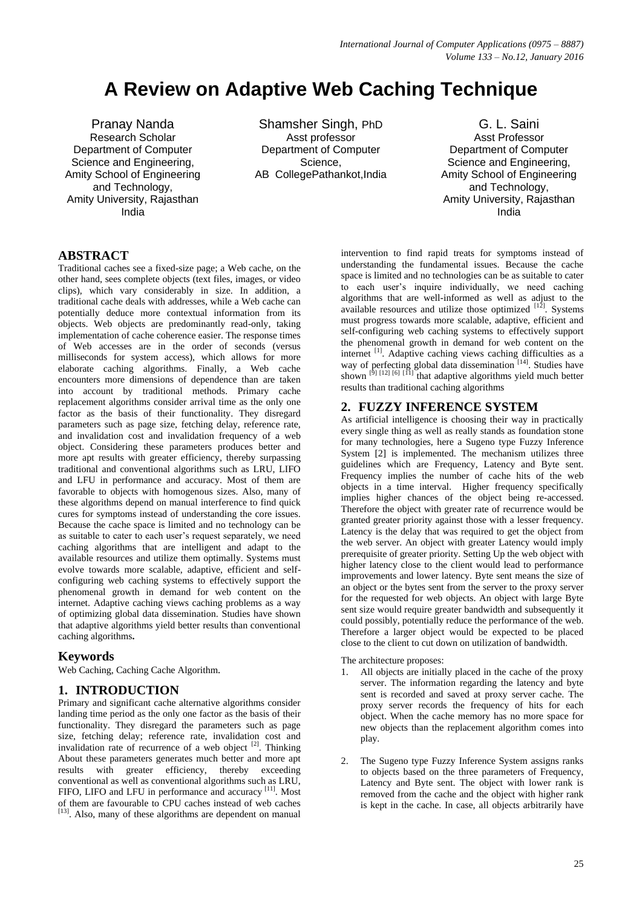# **A Review on Adaptive Web Caching Technique**

Pranay Nanda Research Scholar Department of Computer Science and Engineering, Amity School of Engineering and Technology, Amity University, Rajasthan India

Shamsher Singh, PhD Asst professor Department of Computer Science, AB CollegePathankot,India

G. L. Saini Asst Professor Department of Computer Science and Engineering, Amity School of Engineering and Technology, Amity University, Rajasthan India

# **ABSTRACT**

Traditional caches see a fixed-size page; a Web cache, on the other hand, sees complete objects (text files, images, or video clips), which vary considerably in size. In addition, a traditional cache deals with addresses, while a Web cache can potentially deduce more contextual information from its objects. Web objects are predominantly read-only, taking implementation of cache coherence easier. The response times of Web accesses are in the order of seconds (versus milliseconds for system access), which allows for more elaborate caching algorithms. Finally, a Web cache encounters more dimensions of dependence than are taken into account by traditional methods. Primary cache replacement algorithms consider arrival time as the only one factor as the basis of their functionality. They disregard parameters such as page size, fetching delay, reference rate, and invalidation cost and invalidation frequency of a web object. Considering these parameters produces better and more apt results with greater efficiency, thereby surpassing traditional and conventional algorithms such as LRU, LIFO and LFU in performance and accuracy. Most of them are favorable to objects with homogenous sizes. Also, many of these algorithms depend on manual interference to find quick cures for symptoms instead of understanding the core issues. Because the cache space is limited and no technology can be as suitable to cater to each user's request separately, we need caching algorithms that are intelligent and adapt to the available resources and utilize them optimally. Systems must evolve towards more scalable, adaptive, efficient and selfconfiguring web caching systems to effectively support the phenomenal growth in demand for web content on the internet. Adaptive caching views caching problems as a way of optimizing global data dissemination. Studies have shown that adaptive algorithms yield better results than conventional caching algorithms**.** 

## **Keywords**

Web Caching, Caching Cache Algorithm*.*

# **1. INTRODUCTION**

Primary and significant cache alternative algorithms consider landing time period as the only one factor as the basis of their functionality. They disregard the parameters such as page size, fetching delay; reference rate, invalidation cost and invalidation rate of recurrence of a web object [2]. Thinking About these parameters generates much better and more apt results with greater efficiency, thereby exceeding conventional as well as conventional algorithms such as LRU, FIFO, LIFO and LFU in performance and accuracy [11]. Most of them are favourable to CPU caches instead of web caches [13]. Also, many of these algorithms are dependent on manual intervention to find rapid treats for symptoms instead of understanding the fundamental issues. Because the cache space is limited and no technologies can be as suitable to cater to each user's inquire individually, we need caching algorithms that are well-informed as well as adjust to the available resources and utilize those optimized  $[12]$ . Systems must progress towards more scalable, adaptive, efficient and self-configuring web caching systems to effectively support the phenomenal growth in demand for web content on the internet <sup>[1]</sup>. Adaptive caching views caching difficulties as a way of perfecting global data dissemination [14]. Studies have shown  $\left[$ <sup>6</sup> $\right]$   $\left[$   $\left[$   $\right]$  $\left[$   $\left[$   $\right]$  $\right]$ <sup> $\left[$ </sup> that adaptive algorithms yield much better results than traditional caching algorithms

# **2. FUZZY INFERENCE SYSTEM**

As artificial intelligence is choosing their way in practically every single thing as well as really stands as foundation stone for many technologies, here a Sugeno type Fuzzy Inference System [2] is implemented. The mechanism utilizes three guidelines which are Frequency, Latency and Byte sent. Frequency implies the number of cache hits of the web objects in a time interval. Higher frequency specifically implies higher chances of the object being re-accessed. Therefore the object with greater rate of recurrence would be granted greater priority against those with a lesser frequency. Latency is the delay that was required to get the object from the web server. An object with greater Latency would imply prerequisite of greater priority. Setting Up the web object with higher latency close to the client would lead to performance improvements and lower latency. Byte sent means the size of an object or the bytes sent from the server to the proxy server for the requested for web objects. An object with large Byte sent size would require greater bandwidth and subsequently it could possibly, potentially reduce the performance of the web. Therefore a larger object would be expected to be placed close to the client to cut down on utilization of bandwidth.

The architecture proposes:

- 1. All objects are initially placed in the cache of the proxy server. The information regarding the latency and byte sent is recorded and saved at proxy server cache. The proxy server records the frequency of hits for each object. When the cache memory has no more space for new objects than the replacement algorithm comes into play.
- 2. The Sugeno type Fuzzy Inference System assigns ranks to objects based on the three parameters of Frequency, Latency and Byte sent. The object with lower rank is removed from the cache and the object with higher rank is kept in the cache. In case, all objects arbitrarily have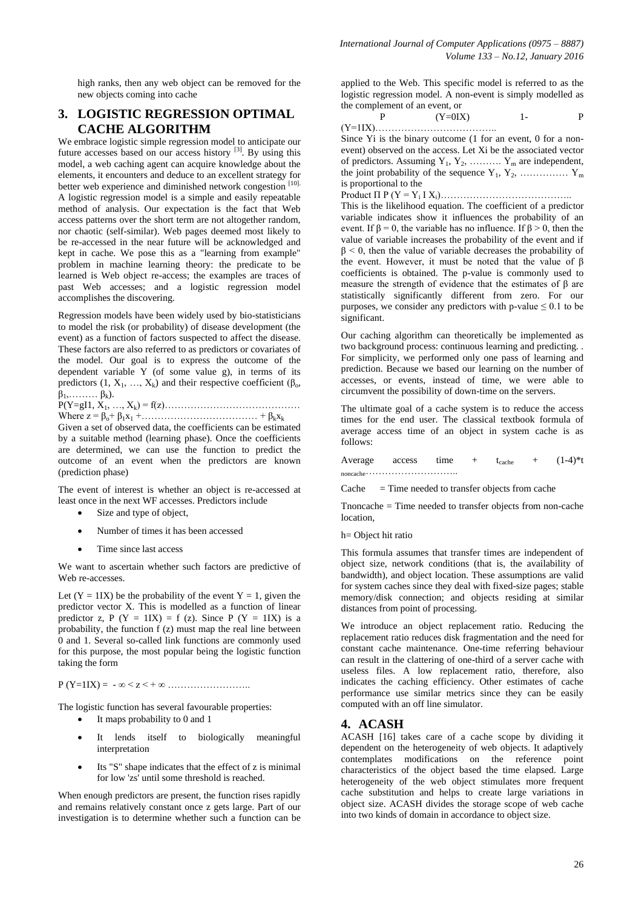high ranks, then any web object can be removed for the new objects coming into cache

## **3. LOGISTIC REGRESSION OPTIMAL CACHE ALGORITHM**

We embrace logistic simple regression model to anticipate our future accesses based on our access history [3]. By using this model, a web caching agent can acquire knowledge about the elements, it encounters and deduce to an excellent strategy for better web experience and diminished network congestion [10]. A logistic regression model is a simple and easily repeatable method of analysis. Our expectation is the fact that Web access patterns over the short term are not altogether random, nor chaotic (self-similar). Web pages deemed most likely to be re-accessed in the near future will be acknowledged and kept in cache. We pose this as a "learning from example" problem in machine learning theory: the predicate to be learned is Web object re-access; the examples are traces of past Web accesses; and a logistic regression model accomplishes the discovering.

Regression models have been widely used by bio-statisticians to model the risk (or probability) of disease development (the event) as a function of factors suspected to affect the disease. These factors are also referred to as predictors or covariates of the model. Our goal is to express the outcome of the dependent variable Y (of some value g), in terms of its predictors  $(1, X_1, ..., X_k)$  and their respective coefficient  $(\beta_0,$  $\hat{\beta}_1, \ldots, \ldots, \beta_k$ ).

P(Y=gI1, X1, …, Xk) = f(z)……………………………………

Where  $z = \beta_0 + \beta_1 x_1 + \dots + \beta_k x_k$ 

Given a set of observed data, the coefficients can be estimated by a suitable method (learning phase). Once the coefficients are determined, we can use the function to predict the outcome of an event when the predictors are known (prediction phase)

The event of interest is whether an object is re-accessed at least once in the next WF accesses. Predictors include

- Size and type of object,
- Number of times it has been accessed
- Time since last access

We want to ascertain whether such factors are predictive of Web re-accesses.

Let  $(Y = 1IX)$  be the probability of the event  $Y = 1$ , given the predictor vector X. This is modelled as a function of linear predictor z,  $P(Y = 1IX) = f(z)$ . Since  $P(Y = 1IX)$  is a probability, the function f (z) must map the real line between 0 and 1. Several so-called link functions are commonly used for this purpose, the most popular being the logistic function taking the form

P (Y=1IX) = - ∞ < z < + ∞ ……………………..

The logistic function has several favourable properties:

- It maps probability to 0 and 1
- It lends itself to biologically meaningful interpretation
- Its "S" shape indicates that the effect of z is minimal for low 'zs' until some threshold is reached.

When enough predictors are present, the function rises rapidly and remains relatively constant once z gets large. Part of our investigation is to determine whether such a function can be

applied to the Web. This specific model is referred to as the logistic regression model. A non-event is simply modelled as the complement of an event, or

|           | $(Y=0IX)$ |  |
|-----------|-----------|--|
| $(Y=1IX)$ |           |  |

Since Yi is the binary outcome (1 for an event, 0 for a nonevent) observed on the access. Let Xi be the associated vector of predictors. Assuming  $Y_1, Y_2, \ldots, Y_m$  are independent, the joint probability of the sequence  $Y_1, Y_2, \ldots, Y_m$ is proportional to the

Product П P (Y = Y<sup>i</sup> I X<sup>i</sup> )…………………………………..

This is the likelihood equation. The coefficient of a predictor variable indicates show it influences the probability of an event. If  $\beta = 0$ , the variable has no influence. If  $\beta > 0$ , then the value of variable increases the probability of the event and if  $\beta$  < 0, then the value of variable decreases the probability of the event. However, it must be noted that the value of β coefficients is obtained. The p-value is commonly used to measure the strength of evidence that the estimates of  $\beta$  are statistically significantly different from zero. For our purposes, we consider any predictors with p-value  $\leq 0.1$  to be significant.

Our caching algorithm can theoretically be implemented as two background process: continuous learning and predicting. . For simplicity, we performed only one pass of learning and prediction. Because we based our learning on the number of accesses, or events, instead of time, we were able to circumvent the possibility of down-time on the servers.

The ultimate goal of a cache system is to reduce the access times for the end user. The classical textbook formula of average access time of an object in system cache is as follows:

| Average | access | <b>time</b> |  | $t_{\rm cache}$ |  | $(1-4)*t$ |  |  |  |
|---------|--------|-------------|--|-----------------|--|-----------|--|--|--|
|         |        |             |  |                 |  |           |  |  |  |

 $Cache = Time \n needed to transfer \n objects from \n cache$ 

Tnoncache = Time needed to transfer objects from non-cache location,

h= Object hit ratio

This formula assumes that transfer times are independent of object size, network conditions (that is, the availability of bandwidth), and object location. These assumptions are valid for system caches since they deal with fixed-size pages; stable memory/disk connection; and objects residing at similar distances from point of processing.

We introduce an object replacement ratio. Reducing the replacement ratio reduces disk fragmentation and the need for constant cache maintenance. One-time referring behaviour can result in the clattering of one-third of a server cache with useless files. A low replacement ratio, therefore, also indicates the caching efficiency. Other estimates of cache performance use similar metrics since they can be easily computed with an off line simulator.

#### **4. ACASH**

ACASH [16] takes care of a cache scope by dividing it dependent on the heterogeneity of web objects. It adaptively contemplates modifications on the reference point characteristics of the object based the time elapsed. Large heterogeneity of the web object stimulates more frequent cache substitution and helps to create large variations in object size. ACASH divides the storage scope of web cache into two kinds of domain in accordance to object size.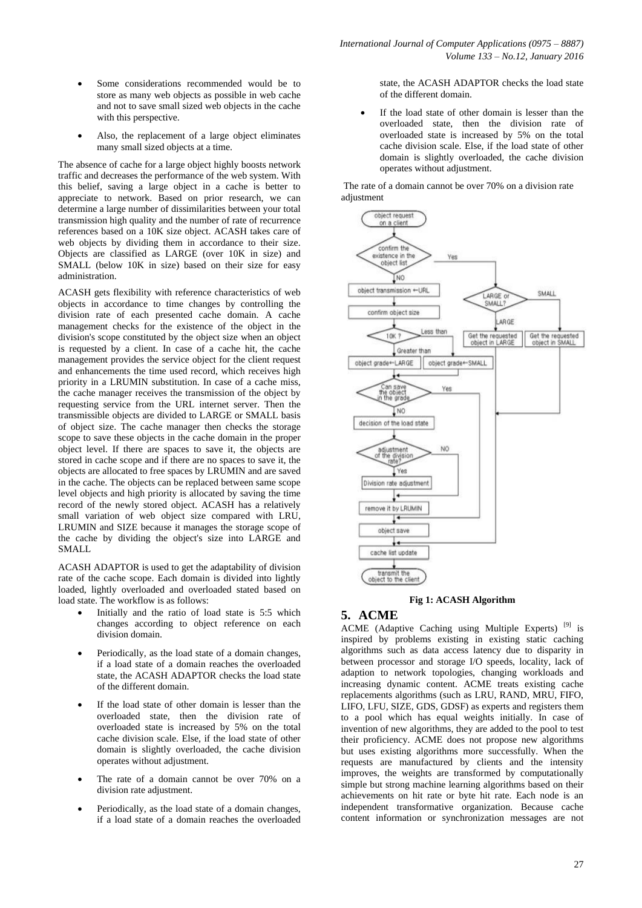- Some considerations recommended would be to store as many web objects as possible in web cache and not to save small sized web objects in the cache with this perspective.
- Also, the replacement of a large object eliminates many small sized objects at a time.

The absence of cache for a large object highly boosts network traffic and decreases the performance of the web system. With this belief, saving a large object in a cache is better to appreciate to network. Based on prior research, we can determine a large number of dissimilarities between your total transmission high quality and the number of rate of recurrence references based on a 10K size object. ACASH takes care of web objects by dividing them in accordance to their size. Objects are classified as LARGE (over 10K in size) and SMALL (below 10K in size) based on their size for easy administration.

ACASH gets flexibility with reference characteristics of web objects in accordance to time changes by controlling the division rate of each presented cache domain. A cache management checks for the existence of the object in the division's scope constituted by the object size when an object is requested by a client. In case of a cache hit, the cache management provides the service object for the client request and enhancements the time used record, which receives high priority in a LRUMIN substitution. In case of a cache miss, the cache manager receives the transmission of the object by requesting service from the URL internet server. Then the transmissible objects are divided to LARGE or SMALL basis of object size. The cache manager then checks the storage scope to save these objects in the cache domain in the proper object level. If there are spaces to save it, the objects are stored in cache scope and if there are no spaces to save it, the objects are allocated to free spaces by LRUMIN and are saved in the cache. The objects can be replaced between same scope level objects and high priority is allocated by saving the time record of the newly stored object. ACASH has a relatively small variation of web object size compared with LRU, LRUMIN and SIZE because it manages the storage scope of the cache by dividing the object's size into LARGE and SMALL

ACASH ADAPTOR is used to get the adaptability of division rate of the cache scope. Each domain is divided into lightly loaded, lightly overloaded and overloaded stated based on load state. The workflow is as follows:

- Initially and the ratio of load state is 5:5 which changes according to object reference on each division domain.
- Periodically, as the load state of a domain changes, if a load state of a domain reaches the overloaded state, the ACASH ADAPTOR checks the load state of the different domain.
- If the load state of other domain is lesser than the overloaded state, then the division rate of overloaded state is increased by 5% on the total cache division scale. Else, if the load state of other domain is slightly overloaded, the cache division operates without adjustment.
- The rate of a domain cannot be over 70% on a division rate adjustment.
- Periodically, as the load state of a domain changes, if a load state of a domain reaches the overloaded

state, the ACASH ADAPTOR checks the load state of the different domain.

 If the load state of other domain is lesser than the overloaded state, then the division rate of overloaded state is increased by 5% on the total cache division scale. Else, if the load state of other domain is slightly overloaded, the cache division operates without adjustment.

The rate of a domain cannot be over 70% on a division rate adjustment



**Fig 1: ACASH Algorithm**

## **5. ACME**

ACME (Adaptive Caching using Multiple Experts)  $[9]$  is inspired by problems existing in existing static caching algorithms such as data access latency due to disparity in between processor and storage I/O speeds, locality, lack of adaption to network topologies, changing workloads and increasing dynamic content. ACME treats existing cache replacements algorithms (such as LRU, RAND, MRU, FIFO, LIFO, LFU, SIZE, GDS, GDSF) as experts and registers them to a pool which has equal weights initially. In case of invention of new algorithms, they are added to the pool to test their proficiency. ACME does not propose new algorithms but uses existing algorithms more successfully. When the requests are manufactured by clients and the intensity improves, the weights are transformed by computationally simple but strong machine learning algorithms based on their achievements on hit rate or byte hit rate. Each node is an independent transformative organization. Because cache content information or synchronization messages are not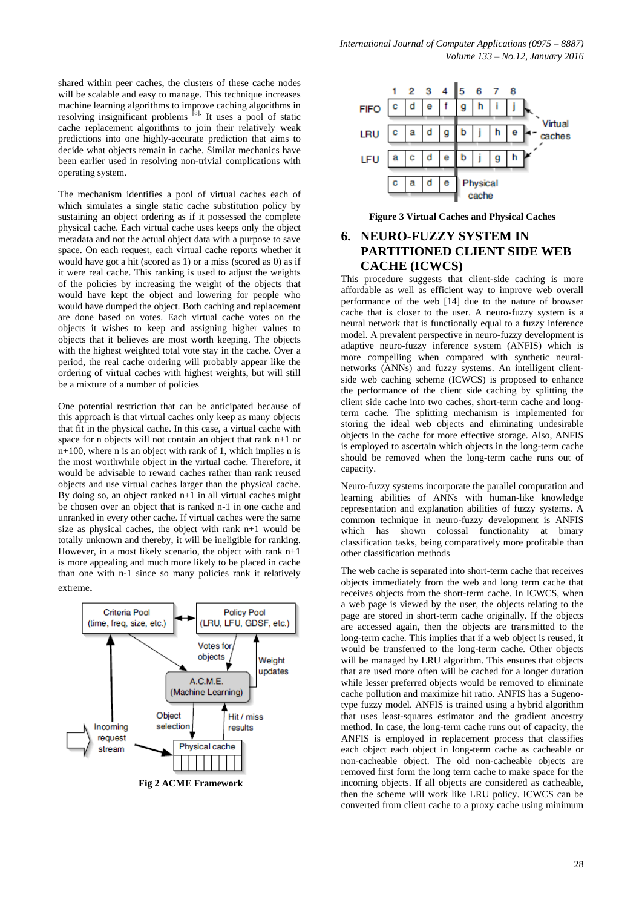shared within peer caches, the clusters of these cache nodes will be scalable and easy to manage. This technique increases machine learning algorithms to improve caching algorithms in resolving insignificant problems  $\begin{bmatrix} 8 \end{bmatrix}$ . It uses a pool of static cache replacement algorithms to join their relatively weak predictions into one highly-accurate prediction that aims to decide what objects remain in cache. Similar mechanics have been earlier used in resolving non-trivial complications with operating system.

The mechanism identifies a pool of virtual caches each of which simulates a single static cache substitution policy by sustaining an object ordering as if it possessed the complete physical cache. Each virtual cache uses keeps only the object metadata and not the actual object data with a purpose to save space. On each request, each virtual cache reports whether it would have got a hit (scored as 1) or a miss (scored as 0) as if it were real cache. This ranking is used to adjust the weights of the policies by increasing the weight of the objects that would have kept the object and lowering for people who would have dumped the object. Both caching and replacement are done based on votes. Each virtual cache votes on the objects it wishes to keep and assigning higher values to objects that it believes are most worth keeping. The objects with the highest weighted total vote stay in the cache. Over a period, the real cache ordering will probably appear like the ordering of virtual caches with highest weights, but will still be a mixture of a number of policies

One potential restriction that can be anticipated because of this approach is that virtual caches only keep as many objects that fit in the physical cache. In this case, a virtual cache with space for n objects will not contain an object that rank n+1 or n+100, where n is an object with rank of 1, which implies n is the most worthwhile object in the virtual cache. Therefore, it would be advisable to reward caches rather than rank reused objects and use virtual caches larger than the physical cache. By doing so, an object ranked  $n+1$  in all virtual caches might be chosen over an object that is ranked n-1 in one cache and unranked in every other cache. If virtual caches were the same size as physical caches, the object with rank n+1 would be totally unknown and thereby, it will be ineligible for ranking. However, in a most likely scenario, the object with rank n+1 is more appealing and much more likely to be placed in cache than one with n-1 since so many policies rank it relatively extreme.



**Fig 2 ACME Framework**



**Figure 3 Virtual Caches and Physical Caches**

# **6. NEURO-FUZZY SYSTEM IN PARTITIONED CLIENT SIDE WEB CACHE (ICWCS)**

This procedure suggests that client-side caching is more affordable as well as efficient way to improve web overall performance of the web [14] due to the nature of browser cache that is closer to the user. A neuro-fuzzy system is a neural network that is functionally equal to a fuzzy inference model. A prevalent perspective in neuro-fuzzy development is adaptive neuro-fuzzy inference system (ANFIS) which is more compelling when compared with synthetic neuralnetworks (ANNs) and fuzzy systems. An intelligent clientside web caching scheme (ICWCS) is proposed to enhance the performance of the client side caching by splitting the client side cache into two caches, short-term cache and longterm cache. The splitting mechanism is implemented for storing the ideal web objects and eliminating undesirable objects in the cache for more effective storage. Also, ANFIS is employed to ascertain which objects in the long-term cache should be removed when the long-term cache runs out of capacity.

Neuro-fuzzy systems incorporate the parallel computation and learning abilities of ANNs with human-like knowledge representation and explanation abilities of fuzzy systems. A common technique in neuro-fuzzy development is ANFIS which has shown colossal functionality at binary classification tasks, being comparatively more profitable than other classification methods

The web cache is separated into short-term cache that receives objects immediately from the web and long term cache that receives objects from the short-term cache. In ICWCS, when a web page is viewed by the user, the objects relating to the page are stored in short-term cache originally. If the objects are accessed again, then the objects are transmitted to the long-term cache. This implies that if a web object is reused, it would be transferred to the long-term cache. Other objects will be managed by LRU algorithm. This ensures that objects that are used more often will be cached for a longer duration while lesser preferred objects would be removed to eliminate cache pollution and maximize hit ratio. ANFIS has a Sugenotype fuzzy model. ANFIS is trained using a hybrid algorithm that uses least-squares estimator and the gradient ancestry method. In case, the long-term cache runs out of capacity, the ANFIS is employed in replacement process that classifies each object each object in long-term cache as cacheable or non-cacheable object. The old non-cacheable objects are removed first form the long term cache to make space for the incoming objects. If all objects are considered as cacheable, then the scheme will work like LRU policy. ICWCS can be converted from client cache to a proxy cache using minimum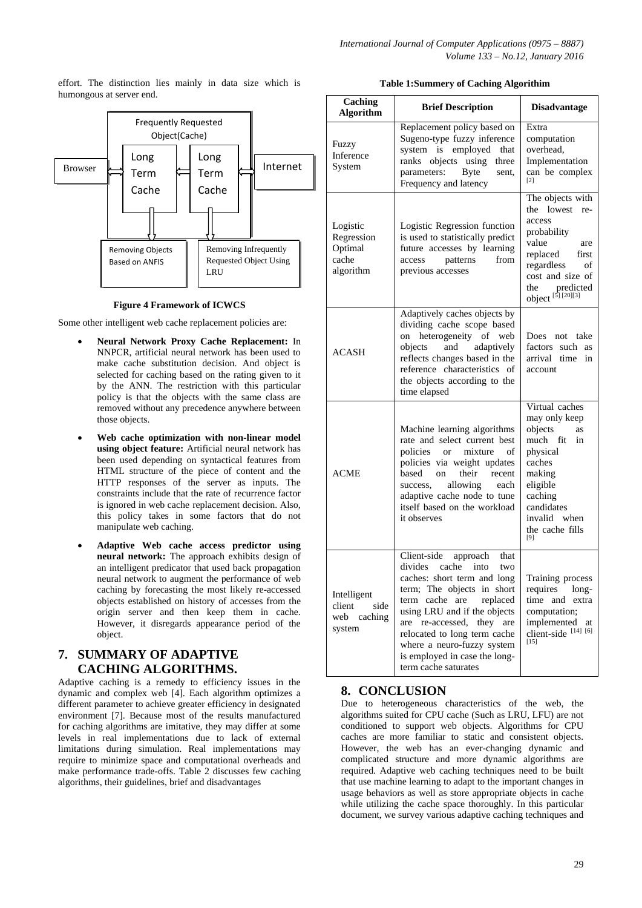effort. The distinction lies mainly in data size which is humongous at server end.



#### **Figure 4 Framework of ICWCS**

Some other intelligent web cache replacement policies are:

- **Neural Network Proxy Cache Replacement:** In NNPCR, artificial neural network has been used to make cache substitution decision. And object is selected for caching based on the rating given to it by the ANN. The restriction with this particular policy is that the objects with the same class are removed without any precedence anywhere between those objects.
- **Web cache optimization with non-linear model using object feature:** Artificial neural network has been used depending on syntactical features from HTML structure of the piece of content and the HTTP responses of the server as inputs. The constraints include that the rate of recurrence factor is ignored in web cache replacement decision. Also, this policy takes in some factors that do not manipulate web caching.
- **Adaptive Web cache access predictor using neural network:** The approach exhibits design of an intelligent predicator that used back propagation neural network to augment the performance of web caching by forecasting the most likely re-accessed objects established on history of accesses from the origin server and then keep them in cache. However, it disregards appearance period of the object.

## **7. SUMMARY OF ADAPTIVE CACHING ALGORITHMS.**

Adaptive caching is a remedy to efficiency issues in the dynamic and complex web [4]. Each algorithm optimizes a different parameter to achieve greater efficiency in designated environment [7]. Because most of the results manufactured for caching algorithms are imitative, they may differ at some levels in real implementations due to lack of external limitations during simulation. Real implementations may require to minimize space and computational overheads and make performance trade-offs. Table 2 discusses few caching algorithms, their guidelines, brief and disadvantages

#### **Table 1:Summery of Caching Algorithim**

|  | Caching<br><b>Algorithm</b>                               | <b>Brief Description</b>                                                                                                                                                                                                                                                                                                                 | <b>Disadvantage</b>                                                                                                                                                                          |
|--|-----------------------------------------------------------|------------------------------------------------------------------------------------------------------------------------------------------------------------------------------------------------------------------------------------------------------------------------------------------------------------------------------------------|----------------------------------------------------------------------------------------------------------------------------------------------------------------------------------------------|
|  | Fuzzy<br>Inference<br>Svstem                              | Replacement policy based on<br>Sugeno-type fuzzy inference<br>system is employed that<br>objects using<br>ranks<br>three<br>parameters: Byte<br>sent.<br>Frequency and latency                                                                                                                                                           | Extra<br>computation<br>overhead,<br>Implementation<br>can be complex                                                                                                                        |
|  | Logistic<br>Regression<br>Optimal<br>cache<br>algorithm   | Logistic Regression function<br>is used to statistically predict<br>future accesses by learning<br>access patterns<br>from<br>previous accesses                                                                                                                                                                                          | The objects with<br>the lowest<br>re-<br>access<br>probability<br>value<br>are<br>replaced<br>first<br>regardless<br>οf<br>cost and size of<br>the predicted<br>object $^{[5]}$ $^{[20][3]}$ |
|  | ACASH                                                     | Adaptively caches objects by<br>dividing cache scope based<br>on heterogeneity of web<br>objects and adaptively<br>reflects changes based in the<br>reference characteristics of<br>the objects according to the<br>time elapsed                                                                                                         | Does not take<br>factors such<br>as<br>arrival time in<br>account                                                                                                                            |
|  | <b>ACME</b>                                               | Machine learning algorithms<br>rate and select current best<br>policies<br>mixture<br><sub>or</sub><br>of<br>policies via weight updates<br>their recent<br>based<br>on<br>allowing<br>success,<br>each<br>adaptive cache node to tune<br>itself based on the workload<br>it observes                                                    | Virtual caches<br>may only keep<br>objects<br>as<br>much fit<br>in<br>physical<br>caches<br>making<br>eligible<br>caching<br>candidates<br>invalid when<br>the cache fills<br>[9]            |
|  | Intelligent<br>client<br>side<br>web<br>caching<br>system | Client-side approach<br>that<br>divides cache into<br>two<br>caches: short term and long<br>term; The objects in short<br>term cache are<br>replaced<br>using LRU and if the objects<br>are re-accessed, they are<br>relocated to long term cache<br>where a neuro-fuzzy system<br>is employed in case the long-<br>term cache saturates | Training process<br>requires<br>long-<br>time and extra<br>computation;<br>implemented<br>at<br>client-side [14] [6]<br>$[15]$                                                               |

## **8. CONCLUSION**

Due to heterogeneous characteristics of the web, the algorithms suited for CPU cache (Such as LRU, LFU) are not conditioned to support web objects. Algorithms for CPU caches are more familiar to static and consistent objects. However, the web has an ever-changing dynamic and complicated structure and more dynamic algorithms are required. Adaptive web caching techniques need to be built that use machine learning to adapt to the important changes in usage behaviors as well as store appropriate objects in cache while utilizing the cache space thoroughly. In this particular document, we survey various adaptive caching techniques and